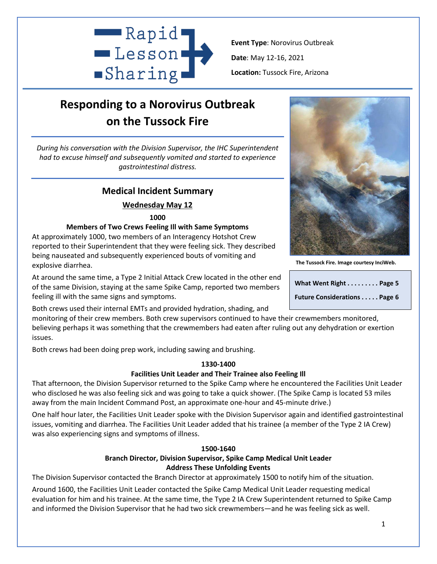

**Event Type**: Norovirus Outbreak **Date**: May 12-16, 2021 **Location:** Tussock Fire, Arizona

# **Responding to a Norovirus Outbreak on the Tussock Fire**

*During his conversation with the Division Supervisor, the IHC Superintendent had to excuse himself and subsequently vomited and started to experience gastrointestinal distress.*

# **Medical Incident Summary**

# **Wednesday May 12**

**1000**

# **Members of Two Crews Feeling Ill with Same Symptoms**

At approximately 1000, two members of an Interagency Hotshot Crew reported to their Superintendent that they were feeling sick. They described being nauseated and subsequently experienced bouts of vomiting and explosive diarrhea.

At around the same time, a Type 2 Initial Attack Crew located in the other end of the same Division, staying at the same Spike Camp, reported two members feeling ill with the same signs and symptoms.

Both crews used their internal EMTs and provided hydration, shading, and

monitoring of their crew members. Both crew supervisors continued to have their crewmembers monitored, believing perhaps it was something that the crewmembers had eaten after ruling out any dehydration or exertion issues.

Both crews had been doing prep work, including sawing and brushing.

## **1330-1400**

## **Facilities Unit Leader and Their Trainee also Feeling Ill**

That afternoon, the Division Supervisor returned to the Spike Camp where he encountered the Facilities Unit Leader who disclosed he was also feeling sick and was going to take a quick shower. (The Spike Camp is located 53 miles away from the main Incident Command Post, an approximate one-hour and 45-minute drive.)

One half hour later, the Facilities Unit Leader spoke with the Division Supervisor again and identified gastrointestinal issues, vomiting and diarrhea. The Facilities Unit Leader added that his trainee (a member of the Type 2 IA Crew) was also experiencing signs and symptoms of illness.

# **1500-1640**

# **Branch Director, Division Supervisor, Spike Camp Medical Unit Leader Address These Unfolding Events**

The Division Supervisor contacted the Branch Director at approximately 1500 to notify him of the situation.

Around 1600, the Facilities Unit Leader contacted the Spike Camp Medical Unit Leader requesting medical evaluation for him and his trainee. At the same time, the Type 2 IA Crew Superintendent returned to Spike Camp and informed the Division Supervisor that he had two sick crewmembers—and he was feeling sick as well.



**The Tussock Fire. Image courtesy InciWeb.**

| What Went Right Page 5              |  |
|-------------------------------------|--|
| <b>Future Considerations Page 6</b> |  |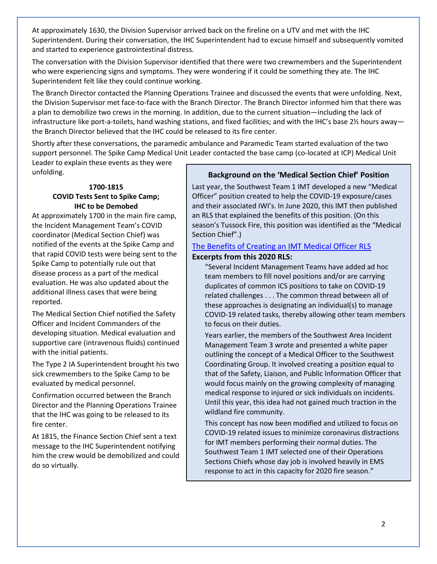At approximately 1630, the Division Supervisor arrived back on the fireline on a UTV and met with the IHC Superintendent. During their conversation, the IHC Superintendent had to excuse himself and subsequently vomited and started to experience gastrointestinal distress.

The conversation with the Division Supervisor identified that there were two crewmembers and the Superintendent who were experiencing signs and symptoms. They were wondering if it could be something they ate. The IHC Superintendent felt like they could continue working.

The Branch Director contacted the Planning Operations Trainee and discussed the events that were unfolding. Next, the Division Supervisor met face-to-face with the Branch Director. The Branch Director informed him that there was a plan to demobilize two crews in the morning. In addition, due to the current situation—including the lack of infrastructure like port-a-toilets, hand washing stations, and fixed facilities; and with the IHC's base 2½ hours away the Branch Director believed that the IHC could be released to its fire center.

Shortly after these conversations, the paramedic ambulance and Paramedic Team started evaluation of the two support personnel. The Spike Camp Medical Unit Leader contacted the base camp (co-located at ICP) Medical Unit Leader to explain these events as they were

unfolding.

# **1700-1815 COVID Tests Sent to Spike Camp; IHC to be Demobed**

At approximately 1700 in the main fire camp, the Incident Management Team's COVID coordinator (Medical Section Chief) was notified of the events at the Spike Camp and that rapid COVID tests were being sent to the Spike Camp to potentially rule out that disease process as a part of the medical evaluation. He was also updated about the additional illness cases that were being reported.

The Medical Section Chief notified the Safety Officer and Incident Commanders of the developing situation. Medical evaluation and supportive care (intravenous fluids) continued with the initial patients.

The Type 2 IA Superintendent brought his two sick crewmembers to the Spike Camp to be evaluated by medical personnel.

Confirmation occurred between the Branch Director and the Planning Operations Trainee that the IHC was going to be released to its fire center.

At 1815, the Finance Section Chief sent a text message to the IHC Superintendent notifying him the crew would be demobilized and could do so virtually.

# **Background on the 'Medical Section Chief' Position**

Last year, the Southwest Team 1 IMT developed a new "Medical Officer" position created to help the COVID-19 exposure/cases and their associated IWI's. In June 2020, this IMT then published an RLS that explained the benefits of this position. (On this season's Tussock Fire, this position was identified as the "Medical Section Chief".)

# [The Benefits of Creating an IMT Medical Officer RLS](https://www.wildfirelessons.net/viewdocument/sawtooth-fire-covid-19-mitigations)

# **Excerpts from this 2020 RLS:**

"Several Incident Management Teams have added ad hoc team members to fill novel positions and/or are carrying duplicates of common ICS positions to take on COVID-19 related challenges . . . The common thread between all of these approaches is designating an individual(s) to manage COVID-19 related tasks, thereby allowing other team members to focus on their duties.

Years earlier, the members of the Southwest Area Incident Management Team 3 wrote and presented a white paper outlining the concept of a Medical Officer to the Southwest Coordinating Group. It involved creating a position equal to that of the Safety, Liaison, and Public Information Officer that would focus mainly on the growing complexity of managing medical response to injured or sick individuals on incidents. Until this year, this idea had not gained much traction in the wildland fire community.

This concept has now been modified and utilized to focus on COVID-19 related issues to minimize coronavirus distractions for IMT members performing their normal duties. The Southwest Team 1 IMT selected one of their Operations Sections Chiefs whose day job is involved heavily in EMS response to act in this capacity for 2020 fire season."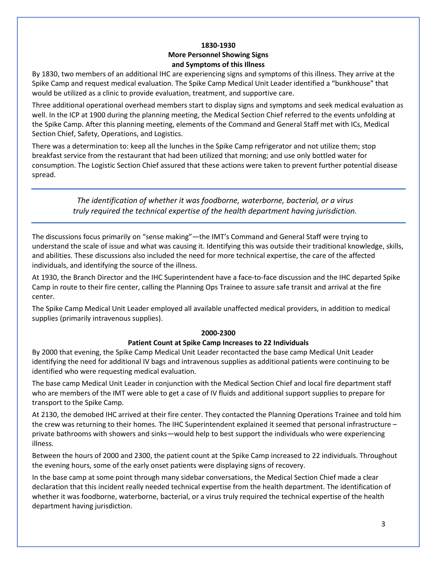#### **1830-1930**

#### **More Personnel Showing Signs and Symptoms of this Illness**

By 1830, two members of an additional IHC are experiencing signs and symptoms of this illness. They arrive at the Spike Camp and request medical evaluation. The Spike Camp Medical Unit Leader identified a "bunkhouse" that would be utilized as a clinic to provide evaluation, treatment, and supportive care.

Three additional operational overhead members start to display signs and symptoms and seek medical evaluation as well. In the ICP at 1900 during the planning meeting, the Medical Section Chief referred to the events unfolding at the Spike Camp. After this planning meeting, elements of the Command and General Staff met with ICs, Medical Section Chief, Safety, Operations, and Logistics.

There was a determination to: keep all the lunches in the Spike Camp refrigerator and not utilize them; stop breakfast service from the restaurant that had been utilized that morning; and use only bottled water for consumption. The Logistic Section Chief assured that these actions were taken to prevent further potential disease spread.

> *The identification of whether it was foodborne, waterborne, bacterial, or a virus truly required the technical expertise of the health department having jurisdiction.*

The discussions focus primarily on "sense making"—the IMT's Command and General Staff were trying to understand the scale of issue and what was causing it. Identifying this was outside their traditional knowledge, skills, and abilities. These discussions also included the need for more technical expertise, the care of the affected individuals, and identifying the source of the illness.

At 1930, the Branch Director and the IHC Superintendent have a face-to-face discussion and the IHC departed Spike Camp in route to their fire center, calling the Planning Ops Trainee to assure safe transit and arrival at the fire center.

The Spike Camp Medical Unit Leader employed all available unaffected medical providers, in addition to medical supplies (primarily intravenous supplies).

#### **2000-2300**

## **Patient Count at Spike Camp Increases to 22 Individuals**

By 2000 that evening, the Spike Camp Medical Unit Leader recontacted the base camp Medical Unit Leader identifying the need for additional IV bags and intravenous supplies as additional patients were continuing to be identified who were requesting medical evaluation.

The base camp Medical Unit Leader in conjunction with the Medical Section Chief and local fire department staff who are members of the IMT were able to get a case of IV fluids and additional support supplies to prepare for transport to the Spike Camp.

At 2130, the demobed IHC arrived at their fire center. They contacted the Planning Operations Trainee and told him the crew was returning to their homes. The IHC Superintendent explained it seemed that personal infrastructure – private bathrooms with showers and sinks—would help to best support the individuals who were experiencing illness.

Between the hours of 2000 and 2300, the patient count at the Spike Camp increased to 22 individuals. Throughout the evening hours, some of the early onset patients were displaying signs of recovery.

In the base camp at some point through many sidebar conversations, the Medical Section Chief made a clear declaration that this incident really needed technical expertise from the health department. The identification of whether it was foodborne, waterborne, bacterial, or a virus truly required the technical expertise of the health department having jurisdiction.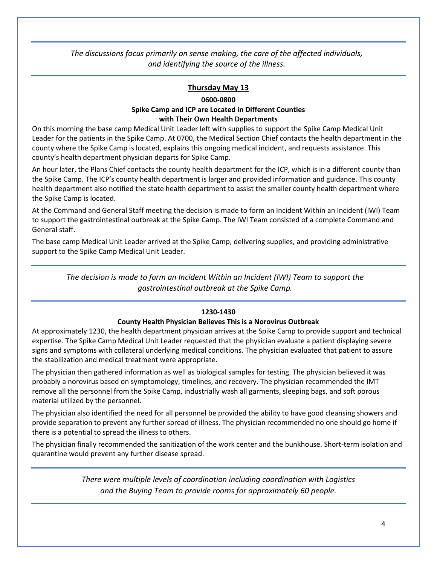*The discussions focus primarily on sense making, the care of the affected individuals, and identifying the source of the illness.*

# **Thursday May 13**

## **0600-0800 Spike Camp and ICP are Located in Different Counties with Their Own Health Departments**

On this morning the base camp Medical Unit Leader left with supplies to support the Spike Camp Medical Unit Leader for the patients in the Spike Camp. At 0700, the Medical Section Chief contacts the health department in the county where the Spike Camp is located, explains this ongoing medical incident, and requests assistance. This county's health department physician departs for Spike Camp.

An hour later, the Plans Chief contacts the county health department for the ICP, which is in a different county than the Spike Camp. The ICP's county health department is larger and provided information and guidance. This county health department also notified the state health department to assist the smaller county health department where the Spike Camp is located.

At the Command and General Staff meeting the decision is made to form an Incident Within an Incident (IWI) Team to support the gastrointestinal outbreak at the Spike Camp. The IWI Team consisted of a complete Command and General staff.

The base camp Medical Unit Leader arrived at the Spike Camp, delivering supplies, and providing administrative support to the Spike Camp Medical Unit Leader.

*The decision is made to form an Incident Within an Incident (IWI) Team to support the gastrointestinal outbreak at the Spike Camp.*

## **1230-1430**

## **County Health Physician Believes This is a Norovirus Outbreak**

At approximately 1230, the health department physician arrives at the Spike Camp to provide support and technical expertise. The Spike Camp Medical Unit Leader requested that the physician evaluate a patient displaying severe signs and symptoms with collateral underlying medical conditions. The physician evaluated that patient to assure the stabilization and medical treatment were appropriate.

The physician then gathered information as well as biological samples for testing. The physician believed it was probably a norovirus based on symptomology, timelines, and recovery. The physician recommended the IMT remove all the personnel from the Spike Camp, industrially wash all garments, sleeping bags, and soft porous material utilized by the personnel.

The physician also identified the need for all personnel be provided the ability to have good cleansing showers and provide separation to prevent any further spread of illness. The physician recommended no one should go home if there is a potential to spread the illness to others.

The physician finally recommended the sanitization of the work center and the bunkhouse. Short-term isolation and quarantine would prevent any further disease spread.

> *There were multiple levels of coordination including coordination with Logistics and the Buying Team to provide rooms for approximately 60 people.*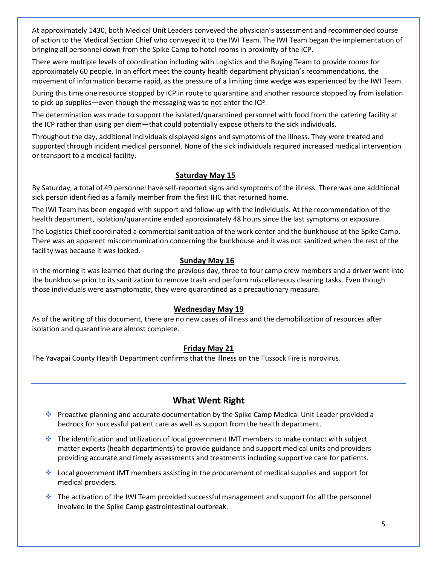At approximately 1430, both Medical Unit Leaders conveyed the physician's assessment and recommended course of action to the Medical Section Chief who conveyed it to the IWI Team. The IWI Team began the implementation of bringing all personnel down from the Spike Camp to hotel rooms in proximity of the ICP.

There were multiple levels of coordination including with Logistics and the Buying Team to provide rooms for approximately 60 people. In an effort meet the county health department physician's recommendations, the movement of information became rapid, as the pressure of a limiting time wedge was experienced by the IWI Team.

During this time one resource stopped by ICP in route to quarantine and another resource stopped by from isolation to pick up supplies—even though the messaging was to not enter the ICP.

The determination was made to support the isolated/quarantined personnel with food from the catering facility at the ICP rather than using per diem—that could potentially expose others to the sick individuals.

Throughout the day, additional individuals displayed signs and symptoms of the illness. They were treated and supported through incident medical personnel. None of the sick individuals required increased medical intervention or transport to a medical facility.

# **Saturday May 15**

By Saturday, a total of 49 personnel have self-reported signs and symptoms of the illness. There was one additional sick person identified as a family member from the first IHC that returned home.

The IWI Team has been engaged with support and follow-up with the individuals. At the recommendation of the health department, isolation/quarantine ended approximately 48 hours since the last symptoms or exposure.

The Logistics Chief coordinated a commercial sanitization of the work center and the bunkhouse at the Spike Camp. There was an apparent miscommunication concerning the bunkhouse and it was not sanitized when the rest of the facility was because it was locked.

### **Sunday May 16**

In the morning it was learned that during the previous day, three to four camp crew members and a driver went into the bunkhouse prior to its sanitization to remove trash and perform miscellaneous cleaning tasks. Even though those individuals were asymptomatic, they were quarantined as a precautionary measure.

#### **Wednesday May 19**

As of the writing of this document, there are no new cases of illness and the demobilization of resources after isolation and quarantine are almost complete.

## **Friday May 21**

The Yavapai County Health Department confirms that the illness on the Tussock Fire is norovirus.

# **What Went Right**

- ❖ Proactive planning and accurate documentation by the Spike Camp Medical Unit Leader provided a bedrock for successful patient care as well as support from the health department.
- ❖ The identification and utilization of local government IMT members to make contact with subject matter experts (health departments) to provide guidance and support medical units and providers providing accurate and timely assessments and treatments including supportive care for patients.
- ❖ Local government IMT members assisting in the procurement of medical supplies and support for medical providers.
- ❖ The activation of the IWI Team provided successful management and support for all the personnel involved in the Spike Camp gastrointestinal outbreak.